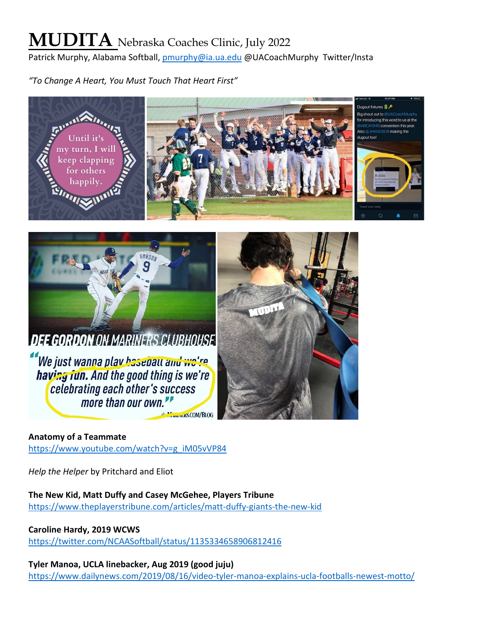# **MUDITA** Nebraska Coaches Clinic, July 2022

Patrick Murphy, Alabama Softball, [pmurphy@ia.ua.edu](mailto:pmurphy@ia.ua.edu) @UACoachMurphy Twitter/Insta

*"To Change A Heart, You Must Touch That Heart First"*





We just wanna play basenall and we're having fun. And the good thing is we're celebrating each other's success more than our own." MemmerS.COM/BLOG



# **Anatomy of a Teammate**

[https://www.youtube.com/watch?v=g\\_iM05vVP84](https://www.youtube.com/watch?v=g_iM05vVP84)

*Help the Helper* by Pritchard and Eliot

**The New Kid, Matt Duffy and Casey McGehee, Players Tribune** <https://www.theplayerstribune.com/articles/matt-duffy-giants-the-new-kid>

**Caroline Hardy, 2019 WCWS**

<https://twitter.com/NCAASoftball/status/1135334658906812416>

**Tyler Manoa, UCLA linebacker, Aug 2019 (good juju)**

<https://www.dailynews.com/2019/08/16/video-tyler-manoa-explains-ucla-footballs-newest-motto/>